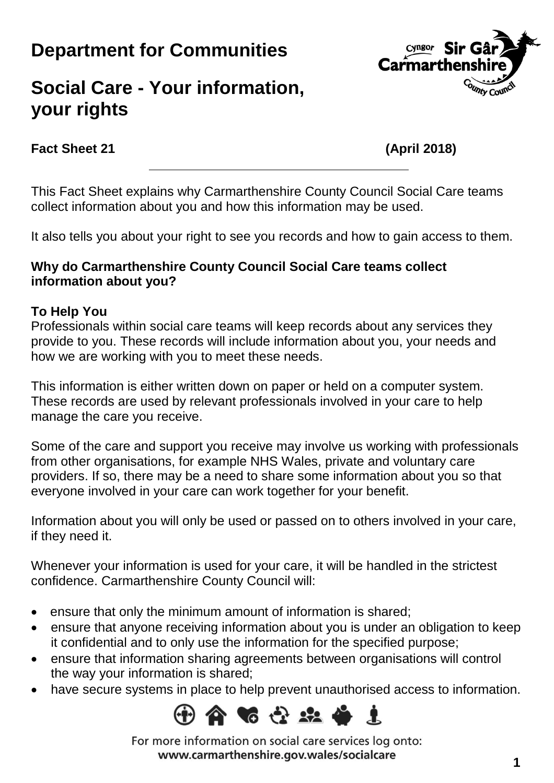# **Department for Communities**

# Cyngor Sir Gâ **Carmarthens OUTITY COUNT**

## **Social Care - Your information, your rights**

### **Fact Sheet 21 (April 2018)**

This Fact Sheet explains why Carmarthenshire County Council Social Care teams collect information about you and how this information may be used.

It also tells you about your right to see you records and how to gain access to them.

#### **Why do Carmarthenshire County Council Social Care teams collect information about you?**

#### **To Help You**

Professionals within social care teams will keep records about any services they provide to you. These records will include information about you, your needs and how we are working with you to meet these needs.

This information is either written down on paper or held on a computer system. These records are used by relevant professionals involved in your care to help manage the care you receive.

Some of the care and support you receive may involve us working with professionals from other organisations, for example NHS Wales, private and voluntary care providers. If so, there may be a need to share some information about you so that everyone involved in your care can work together for your benefit.

Information about you will only be used or passed on to others involved in your care, if they need it.

Whenever your information is used for your care, it will be handled in the strictest confidence. Carmarthenshire County Council will:

- ensure that only the minimum amount of information is shared;
- ensure that anyone receiving information about you is under an obligation to keep it confidential and to only use the information for the specified purpose;
- ensure that information sharing agreements between organisations will control the way your information is shared;
- have secure systems in place to help prevent unauthorised access to information.



For more information on social care services log onto: www.carmarthenshire.gov.wales/socialcare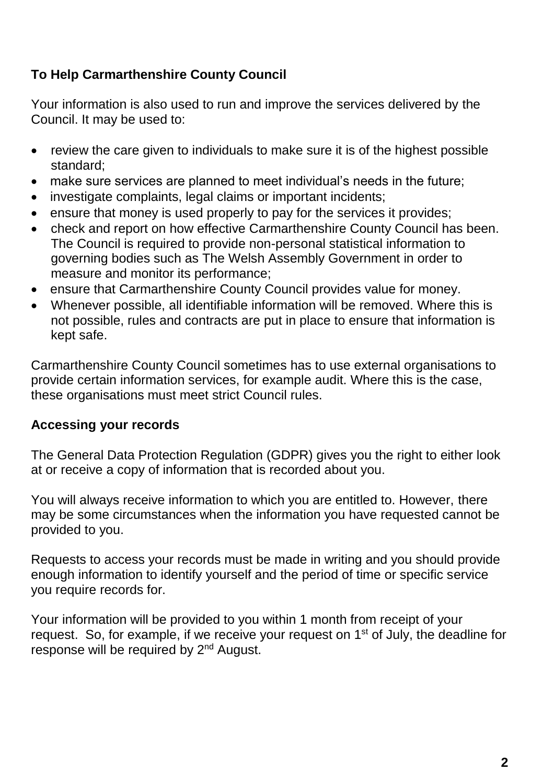### **To Help Carmarthenshire County Council**

Your information is also used to run and improve the services delivered by the Council. It may be used to:

- review the care given to individuals to make sure it is of the highest possible standard;
- make sure services are planned to meet individual's needs in the future;
- investigate complaints, legal claims or important incidents;
- ensure that money is used properly to pay for the services it provides;
- check and report on how effective Carmarthenshire County Council has been. The Council is required to provide non-personal statistical information to governing bodies such as The Welsh Assembly Government in order to measure and monitor its performance;
- ensure that Carmarthenshire County Council provides value for money.
- Whenever possible, all identifiable information will be removed. Where this is not possible, rules and contracts are put in place to ensure that information is kept safe.

Carmarthenshire County Council sometimes has to use external organisations to provide certain information services, for example audit. Where this is the case, these organisations must meet strict Council rules.

#### **Accessing your records**

The General Data Protection Regulation (GDPR) gives you the right to either look at or receive a copy of information that is recorded about you.

You will always receive information to which you are entitled to. However, there may be some circumstances when the information you have requested cannot be provided to you.

Requests to access your records must be made in writing and you should provide enough information to identify yourself and the period of time or specific service you require records for.

Your information will be provided to you within 1 month from receipt of your request. So, for example, if we receive your request on 1<sup>st</sup> of July, the deadline for response will be required by 2<sup>nd</sup> August.